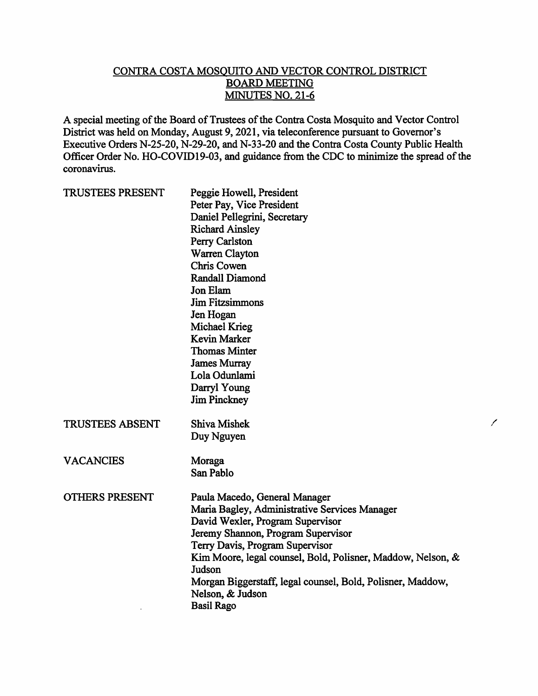## CONTRA COSTA MOSQUITO AND VECTOR CONTROL DISTRICT **BOARD MEETING** MINUTES NO. 21-6

A special meeting of the Board of Trustees of the Contra Costa Mosquito and Vector Control District was held on Monday, August 9, 2021, via teleconference pursuant to Governor's Executive Orders N-25-20, N-29-20, and N-33-20 and the Contra Costa County Public Health Officer Order No. HO-COVID19-03, and guidance from the CDC to minimize the spread of the coronavirus.

| <b>TRUSTEES PRESENT</b> | Peggie Howell, President<br>Peter Pay, Vice President<br>Daniel Pellegrini, Secretary<br><b>Richard Ainsley</b><br>Perry Carlston<br>Warren Clayton<br><b>Chris Cowen</b><br><b>Randall Diamond</b><br>Jon Elam<br><b>Jim Fitzsimmons</b><br>Jen Hogan<br>Michael Krieg<br><b>Kevin Marker</b><br><b>Thomas Minter</b><br><b>James Murray</b><br>Lola Odunlami<br>Darryl Young<br><b>Jim Pinckney</b> |
|-------------------------|-------------------------------------------------------------------------------------------------------------------------------------------------------------------------------------------------------------------------------------------------------------------------------------------------------------------------------------------------------------------------------------------------------|
| <b>TRUSTEES ABSENT</b>  | Shiva Mishek<br>Duy Nguyen                                                                                                                                                                                                                                                                                                                                                                            |
| <b>VACANCIES</b>        | Moraga<br>San Pablo                                                                                                                                                                                                                                                                                                                                                                                   |
| <b>OTHERS PRESENT</b>   | Paula Macedo, General Manager<br>Maria Bagley, Administrative Services Manager<br>David Wexler, Program Supervisor<br>Jeremy Shannon, Program Supervisor<br>Terry Davis, Program Supervisor<br>Kim Moore, legal counsel, Bold, Polisner, Maddow, Nelson, &<br>Judson<br>Morgan Biggerstaff, legal counsel, Bold, Polisner, Maddow,<br>Nelson, & Judson<br><b>Basil Rago</b>                           |

 $\overline{\phantom{a}}$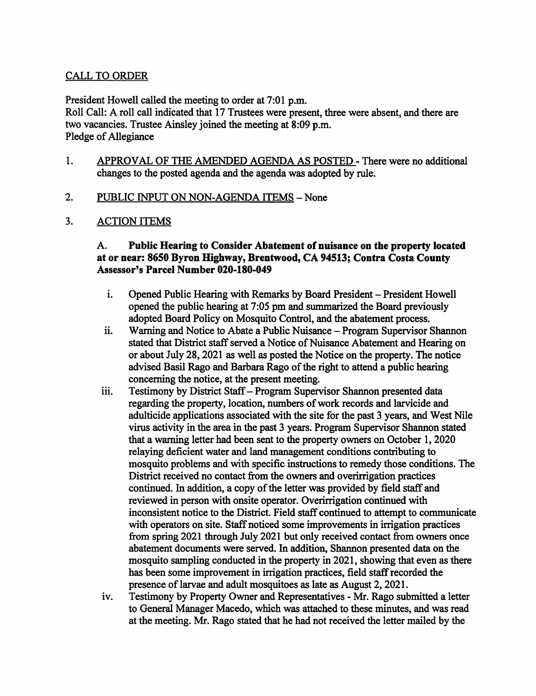# **CALL TO ORDER**

President Howell called the meeting to order at 7:01 p.m. Roll Call: A roll call indicated that 17 Trustees were present, three were absent, and there are two vacancies. Trustee Ainsley joined the meeting at 8:09 p.m. Pledge of Allegiance

1. APPROVAL OF THE AMENDED AGENDA AS POSTED - There were no additional changes to the posted agenda and the agenda was adopted by rule.

#### $2.$ PUBLIC INPUT ON NON-AGENDA ITEMS - None

 $3.$ **ACTION ITEMS** 

### A. Public Hearing to Consider Abatement of nuisance on the property located at or near: 8650 Byron Highway, Brentwood, CA 94513; Contra Costa County **Assessor's Parcel Number 020-180-049**

- i. Opened Public Hearing with Remarks by Board President - President Howell opened the public hearing at 7:05 pm and summarized the Board previously adopted Board Policy on Mosquito Control, and the abatement process.
- Warning and Notice to Abate a Public Nuisance Program Supervisor Shannon  $\ddot{\mathbf{i}}$ stated that District staff served a Notice of Nuisance Abatement and Hearing on or about July 28, 2021 as well as posted the Notice on the property. The notice advised Basil Rago and Barbara Rago of the right to attend a public hearing concerning the notice, at the present meeting.
- Testimony by District Staff Program Supervisor Shannon presented data iii. regarding the property, location, numbers of work records and larvicide and adulticide applications associated with the site for the past 3 years, and West Nile virus activity in the area in the past 3 years. Program Supervisor Shannon stated that a warning letter had been sent to the property owners on October 1, 2020 relaying deficient water and land management conditions contributing to mosquito problems and with specific instructions to remedy those conditions. The District received no contact from the owners and overirrigation practices continued. In addition, a copy of the letter was provided by field staff and reviewed in person with onsite operator. Overirrigation continued with inconsistent notice to the District. Field staff continued to attempt to communicate with operators on site. Staff noticed some improvements in irrigation practices from spring 2021 through July 2021 but only received contact from owners once abatement documents were served. In addition, Shannon presented data on the mosquito sampling conducted in the property in 2021, showing that even as there has been some improvement in irrigation practices, field staff recorded the presence of larvae and adult mosquitoes as late as August 2, 2021.
- Testimony by Property Owner and Representatives Mr. Rago submitted a letter iv. to General Manager Macedo, which was attached to these minutes, and was read at the meeting. Mr. Rago stated that he had not received the letter mailed by the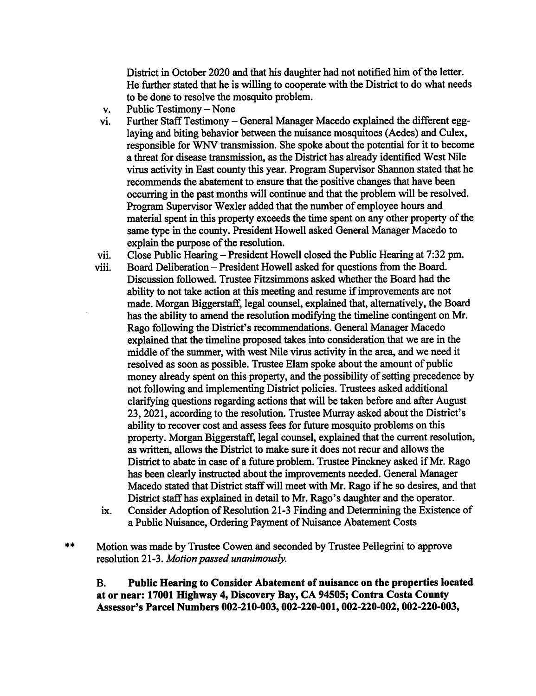District in October 2020 and that his daughter had not notified him of the letter. He further stated that he is willing to cooperate with the District to do what needs to be done to resolve the mosquito problem.

- Public Testimony None  $\mathbf{v}_t$
- Further Staff Testimony General Manager Macedo explained the different eggvi. laying and biting behavior between the nuisance mosquitoes (Aedes) and Culex, responsible for WNV transmission. She spoke about the potential for it to become a threat for disease transmission, as the District has already identified West Nile virus activity in East county this year. Program Supervisor Shannon stated that he recommends the abatement to ensure that the positive changes that have been occurring in the past months will continue and that the problem will be resolved. Program Supervisor Wexler added that the number of employee hours and material spent in this property exceeds the time spent on any other property of the same type in the county. President Howell asked General Manager Macedo to explain the purpose of the resolution.
- vii. Close Public Hearing – President Howell closed the Public Hearing at 7:32 pm.
- Board Deliberation President Howell asked for questions from the Board. viii. Discussion followed. Trustee Fitzsimmons asked whether the Board had the ability to not take action at this meeting and resume if improvements are not made. Morgan Biggerstaff, legal counsel, explained that, alternatively, the Board has the ability to amend the resolution modifying the timeline contingent on Mr. Rago following the District's recommendations. General Manager Macedo explained that the timeline proposed takes into consideration that we are in the middle of the summer, with west Nile virus activity in the area, and we need it resolved as soon as possible. Trustee Elam spoke about the amount of public money already spent on this property, and the possibility of setting precedence by not following and implementing District policies. Trustees asked additional clarifying questions regarding actions that will be taken before and after August 23, 2021, according to the resolution. Trustee Murray asked about the District's ability to recover cost and assess fees for future mosquito problems on this property. Morgan Biggerstaff, legal counsel, explained that the current resolution, as written, allows the District to make sure it does not recur and allows the District to abate in case of a future problem. Trustee Pinckney asked if Mr. Rago has been clearly instructed about the improvements needed. General Manager Macedo stated that District staff will meet with Mr. Rago if he so desires, and that District staff has explained in detail to Mr. Rago's daughter and the operator.
	- Consider Adoption of Resolution 21-3 Finding and Determining the Existence of ix. a Public Nuisance, Ordering Payment of Nuisance Abatement Costs

 $**$ Motion was made by Trustee Cowen and seconded by Trustee Pellegrini to approve resolution 21-3. Motion passed unanimously.

 $\mathbf{B}$ . Public Hearing to Consider Abatement of nuisance on the properties located at or near: 17001 Highway 4, Discovery Bay, CA 94505; Contra Costa County Assessor's Parcel Numbers 002-210-003, 002-220-001, 002-220-002, 002-220-003,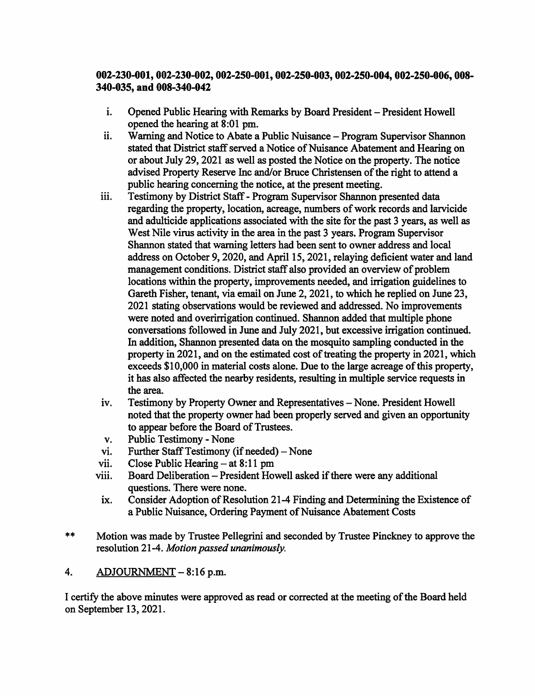## 002-230-001, 002-230-002, 002-250-001, 002-250-003, 002-250-004, 002-250-006, 008-340-035, and 008-340-042

- $\mathbf{i}$ . Opened Public Hearing with Remarks by Board President – President Howell opened the hearing at 8:01 pm.
- ii. Warning and Notice to Abate a Public Nuisance – Program Supervisor Shannon stated that District staff served a Notice of Nuisance Abatement and Hearing on or about July 29, 2021 as well as posted the Notice on the property. The notice advised Property Reserve Inc and/or Bruce Christensen of the right to attend a public hearing concerning the notice, at the present meeting.
- Testimony by District Staff Program Supervisor Shannon presented data iii. regarding the property, location, acreage, numbers of work records and larvicide and adulticide applications associated with the site for the past 3 years, as well as West Nile virus activity in the area in the past 3 years. Program Supervisor Shannon stated that warning letters had been sent to owner address and local address on October 9, 2020, and April 15, 2021, relaying deficient water and land management conditions. District staff also provided an overview of problem locations within the property, improvements needed, and irrigation guidelines to Gareth Fisher, tenant, via email on June 2, 2021, to which he replied on June 23, 2021 stating observations would be reviewed and addressed. No improvements were noted and overirrigation continued. Shannon added that multiple phone conversations followed in June and July 2021, but excessive irrigation continued. In addition, Shannon presented data on the mosquito sampling conducted in the property in 2021, and on the estimated cost of treating the property in 2021, which exceeds \$10,000 in material costs alone. Due to the large acreage of this property, it has also affected the nearby residents, resulting in multiple service requests in the area.
- iv. Testimony by Property Owner and Representatives – None. President Howell noted that the property owner had been properly served and given an opportunity to appear before the Board of Trustees.
- **Public Testimony None** v.
- Further Staff Testimony (if needed) None vi.
- Close Public Hearing  $-$  at 8:11 pm vii.
- viii. Board Deliberation - President Howell asked if there were any additional questions. There were none.
- Consider Adoption of Resolution 21-4 Finding and Determining the Existence of ix. a Public Nuisance, Ordering Payment of Nuisance Abatement Costs
- $***$ Motion was made by Trustee Pellegrini and seconded by Trustee Pinckney to approve the resolution 21-4. Motion passed unanimously.
- $4.$ ADJOURNMENT - 8:16 p.m.

I certify the above minutes were approved as read or corrected at the meeting of the Board held on September 13, 2021.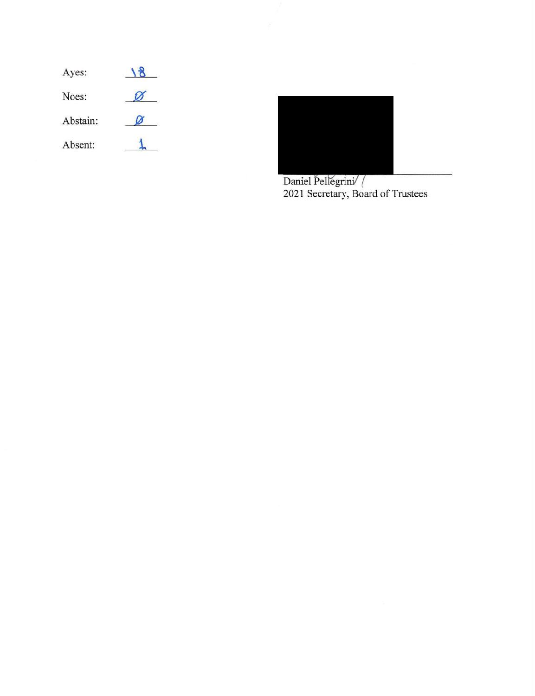| Ayes:    |  |
|----------|--|
| Noes:    |  |
| Abstain: |  |
| Absent:  |  |



Daniel Pellegrini/ /<br>2021 Secretary, Board of Trustees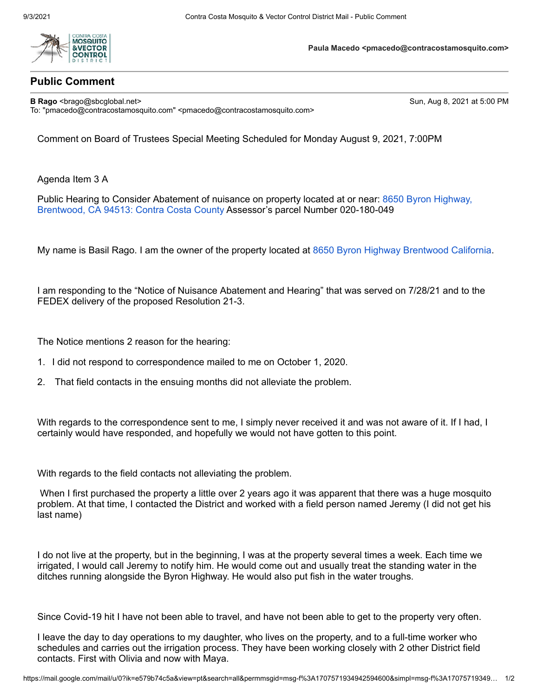

## **Public Comment**

**B Rago** <br/>**Sun, Aug 8, 2021 at 5:00 PM**  $\blacksquare$  **Sun, Aug 8, 2021 at 5:00 PM** To: "pmacedo@contracostamosquito.com" <pmacedo@contracostamosquito.com>

**Paula Macedo <pmacedo@contracostamosquito.com>**

Comment on Board of Trustees Special Meeting Scheduled for Monday August 9, 2021, 7:00PM

Agenda Item 3 A

Public Hearing to Consider Abatement of nuisance on property located at or near: 8650 Byron Highway, Brentwood, CA 94513: Contra Costa County Assessor's parcel Number 020-180-049

My name is Basil Rago. I am the owner of the property located at 8650 Byron Highway Brentwood California.

I am responding to the "Notice of Nuisance Abatement and Hearing" that was served on 7/28/21 and to the FEDEX delivery of the proposed Resolution 21-3.

The Notice mentions 2 reason for the hearing:

- 1. I did not respond to correspondence mailed to me on October 1, 2020.
- 2. That field contacts in the ensuing months did not alleviate the problem.

With regards to the correspondence sent to me, I simply never received it and was not aware of it. If I had, I certainly would have responded, and hopefully we would not have gotten to this point.

With regards to the field contacts not alleviating the problem.

When I first purchased the property a little over 2 years ago it was apparent that there was a huge mosquito problem. At that time, I contacted the District and worked with a field person named Jeremy (I did not get his last name)

I do not live at the property, but in the beginning, I was at the property several times a week. Each time we irrigated, I would call Jeremy to notify him. He would come out and usually treat the standing water in the ditches running alongside the Byron Highway. He would also put fish in the water troughs.

Since Covid-19 hit I have not been able to travel, and have not been able to get to the property very often.

I leave the day to day operations to my daughter, who lives on the property, and to a full-time worker who schedules and carries out the irrigation process. They have been working closely with 2 other District field contacts. First with Olivia and now with Maya.